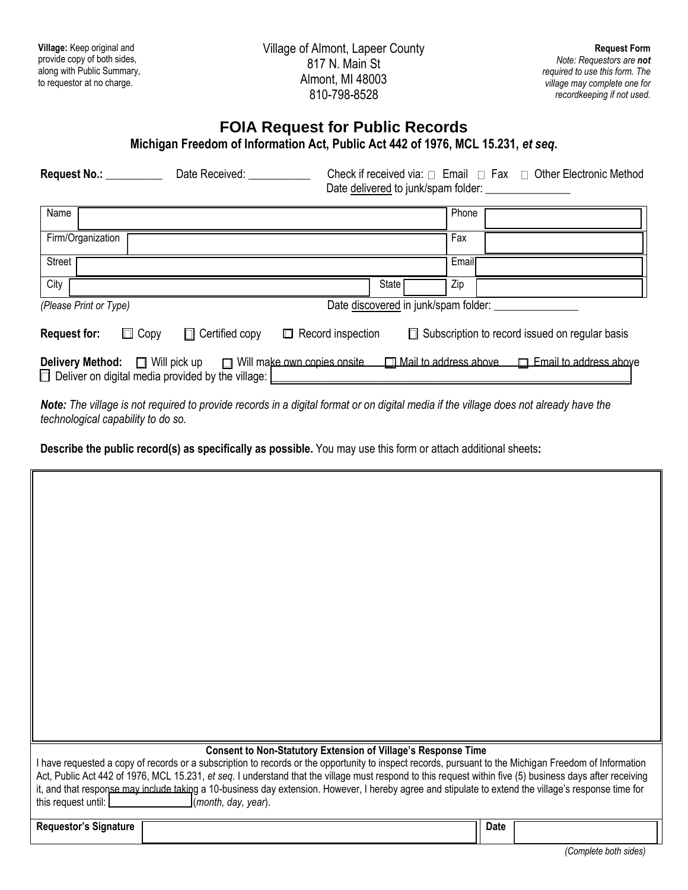| Village: Keep original and<br>provide copy of both sides,<br>along with Public Summary,<br>to requestor at no charge.      |                | Village of Almont, Lapeer County<br>817 N. Main St<br>Almont, MI 48003<br>810-798-8528 | <b>Request Form</b><br>Note: Requestors are not<br>required to use this form. The<br>village may complete one for<br>recordkeeping if not used. |  |  |  |  |  |
|----------------------------------------------------------------------------------------------------------------------------|----------------|----------------------------------------------------------------------------------------|-------------------------------------------------------------------------------------------------------------------------------------------------|--|--|--|--|--|
| <b>FOIA Request for Public Records</b><br>Michigan Freedom of Information Act, Public Act 442 of 1976, MCL 15.231, et seq. |                |                                                                                        |                                                                                                                                                 |  |  |  |  |  |
|                                                                                                                            | Date Received: | Check if received via: $\Box$ Email $\Box$ Fax $\Box$ Other Electronic Method          |                                                                                                                                                 |  |  |  |  |  |
| Name                                                                                                                       |                | Phone                                                                                  |                                                                                                                                                 |  |  |  |  |  |
| Firm/Organization                                                                                                          |                | Fax                                                                                    |                                                                                                                                                 |  |  |  |  |  |

*Note: The village is not required to provide records in a digital format or on digital media if the village does not already have the technological capability to do so.*

Request for:  $\Box$  Copy  $\Box$  Certified copy  $\Box$  Record inspection  $\Box$  Subscription to record issued on regular basis

**Delivery Method:**  $\Box$  Will pick up  $\Box$  Will make own copies onsite  $\Box$  Mail to address above  $\Box$  Email to address above

**Describe the public record(s) as specifically as possible.** You may use this form or attach additional sheets**:**

*(Please Print or Type)*Date discovered in junk/spam folder: \_\_\_\_\_\_\_\_\_\_\_\_\_\_\_

Street Figure 2014 - The Street Email: The Street Email: The Street Email: The Street Email: The Street Email:

City **City** State **Zip** State **Zip** 

 $\Box$  Deliver on digital media provided by the village:

I

| Consent to Non-Statutory Extension of Village's Response Time<br>I have requested a copy of records or a subscription to records or the opportunity to inspect records, pursuant to the Michigan Freedom of Information<br>Act, Public Act 442 of 1976, MCL 15.231, et seq. I understand that the village must respond to this request within five (5) business days after receiving<br>it, and that response may include taking a 10-business day extension. However, I hereby agree and stipulate to extend the village's response time for<br>this request until:<br>(month, day, year). |             |                                  |  |  |
|---------------------------------------------------------------------------------------------------------------------------------------------------------------------------------------------------------------------------------------------------------------------------------------------------------------------------------------------------------------------------------------------------------------------------------------------------------------------------------------------------------------------------------------------------------------------------------------------|-------------|----------------------------------|--|--|
| <b>Requestor's Signature</b>                                                                                                                                                                                                                                                                                                                                                                                                                                                                                                                                                                | <b>Date</b> | (0, , L, L, L, L, L, L, L, L, L) |  |  |